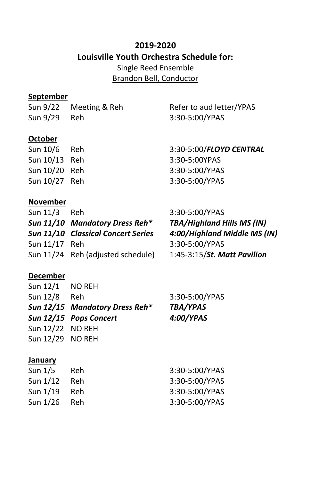# **2019-2020 Louisville Youth Orchestra Schedule for:** Single Reed Ensemble

Brandon Bell, Conductor

### **September**

Sun 9/22 Meeting & Reh Refer to aud letter/YPAS

Sun 9/29 Reh 3:30-5:00/YPAS

## **October**

| Sun 10/6      | - Reh | 3:30-5:00/FLOYD CENTRAL |
|---------------|-------|-------------------------|
| Sun 10/13 Reh |       | 3:30-5:00YPAS           |
| Sun 10/20 Reh |       | 3:30-5:00/YPAS          |
| Sun 10/27 Reh |       | 3:30-5:00/YPAS          |

### **November**

| 3:30-5:00/YPAS                                                                                                                    |
|-----------------------------------------------------------------------------------------------------------------------------------|
| <b>TBA/Highland Hills MS (IN)</b>                                                                                                 |
| 4:00/Highland Middle MS (IN)                                                                                                      |
| 3:30-5:00/YPAS                                                                                                                    |
| 1:45-3:15/St. Matt Pavilion                                                                                                       |
| Reh<br>Sun 11/10 Mandatory Dress Reh*<br>Sun 11/10 Classical Concert Series<br>Sun 11/17 Reh<br>Sun 11/24 Reh (adjusted schedule) |

#### **December**

| Sun 12/1 NO REH  |                                |                 |
|------------------|--------------------------------|-----------------|
| Sun 12/8 Reh     |                                | 3:30-5:00/YPAS  |
|                  | Sun 12/15 Mandatory Dress Reh* | <b>TBA/YPAS</b> |
|                  | Sun 12/15 Pops Concert         | 4:00/YPAS       |
| Sun 12/22 NO REH |                                |                 |
| Sun 12/29 NO REH |                                |                 |
|                  |                                |                 |

#### **January**

| Sun 1/5  | Reh. | 3:30-5:00/YPAS |
|----------|------|----------------|
| Sun 1/12 | Reh. | 3:30-5:00/YPAS |
| Sun 1/19 | Reh. | 3:30-5:00/YPAS |
| Sun 1/26 | Reh  | 3:30-5:00/YPAS |